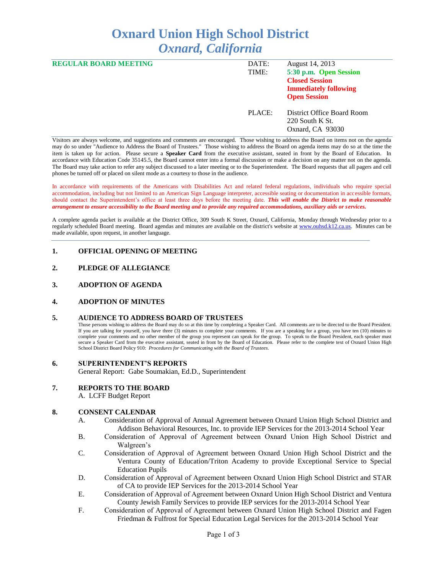# **Oxnard Union High School District** *Oxnard, California*

| <b>REGULAR BOARD MEETING</b> | DATE:<br>TIME: | August 14, 2013<br>5:30 p.m. Open Session<br><b>Closed Session</b><br><b>Immediately following</b><br><b>Open Session</b> |
|------------------------------|----------------|---------------------------------------------------------------------------------------------------------------------------|
|                              | PLACE:         | District Office Board Room<br>$220$ South K St.<br>Oxnard, CA 93030                                                       |

Visitors are always welcome, and suggestions and comments are encouraged. Those wishing to address the Board on items not on the agenda may do so under "Audience to Address the Board of Trustees." Those wishing to address the Board on agenda items may do so at the time the item is taken up for action. Please secure a **Speaker Card** from the executive assistant, seated in front by the Board of Education. In accordance with Education Code 35145.5, the Board cannot enter into a formal discussion or make a decision on any matter not on the agenda. The Board may take action to refer any subject discussed to a later meeting or to the Superintendent. The Board requests that all pagers and cell phones be turned off or placed on silent mode as a courtesy to those in the audience.

In accordance with requirements of the Americans with Disabilities Act and related federal regulations, individuals who require special accommodation, including but not limited to an American Sign Language interpreter, accessible seating or documentation in accessible formats, should contact the Superintendent's office at least three days before the meeting date. *This will enable the District to make reasonable arrangement to ensure accessibility to the Board meeting and to provide any required accommodations, auxiliary aids or services.* 

A complete agenda packet is available at the District Office, 309 South K Street, Oxnard, California, Monday through Wednesday prior to a regularly scheduled Board meeting. Board agendas and minutes are available on the district's website at [www.ouhsd.k12.ca.us.](http://www.ouhsd.k12.ca.us/)Minutes can be made available, upon request, in another language.

# **1. OFFICIAL OPENING OF MEETING**

# **2. PLEDGE OF ALLEGIANCE**

**3. ADOPTION OF AGENDA**

# **4. ADOPTION OF MINUTES**

#### **5. AUDIENCE TO ADDRESS BOARD OF TRUSTEES**

Those persons wishing to address the Board may do so at this time by completing a Speaker Card. All comments are to be directed to the Board President. If you are talking for yourself, you have three (3) minutes to complete your comments. If you are a speaking for a group, you have ten (10) minutes to complete your comments and no other member of the group you represent can speak for the group. To speak to the Board President, each speaker must secure a Speaker Card from the executive assistant, seated in front by the Board of Education. Please refer to the complete text of Oxnard Union High School District Board Policy 910: *Procedures for Communicating with the Board of Trustees.*

# **6. SUPERINTENDENT'S REPORTS**

General Report: Gabe Soumakian, Ed.D., Superintendent

## **7. REPORTS TO THE BOARD**

A. LCFF Budget Report

#### **8. CONSENT CALENDAR**

- A. Consideration of Approval of Annual Agreement between Oxnard Union High School District and Addison Behavioral Resources, Inc. to provide IEP Services for the 2013-2014 School Year
- B. Consideration of Approval of Agreement between Oxnard Union High School District and Walgreen's
- C. Consideration of Approval of Agreement between Oxnard Union High School District and the Ventura County of Education/Triton Academy to provide Exceptional Service to Special Education Pupils
- D. Consideration of Approval of Agreement between Oxnard Union High School District and STAR of CA to provide IEP Services for the 2013-2014 School Year
- E. Consideration of Approval of Agreement between Oxnard Union High School District and Ventura County Jewish Family Services to provide IEP services for the 2013-2014 School Year
- F. Consideration of Approval of Agreement between Oxnard Union High School District and Fagen Friedman & Fulfrost for Special Education Legal Services for the 2013-2014 School Year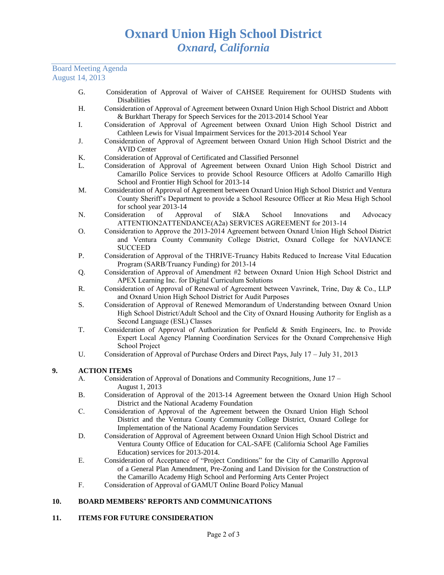# Board Meeting Agenda August 14, 2013

- G. Consideration of Approval of Waiver of CAHSEE Requirement for OUHSD Students with **Disabilities**
- H. Consideration of Approval of Agreement between Oxnard Union High School District and Abbott & Burkhart Therapy for Speech Services for the 2013-2014 School Year
- I. Consideration of Approval of Agreement between Oxnard Union High School District and Cathleen Lewis for Visual Impairment Services for the 2013-2014 School Year
- J. Consideration of Approval of Agreement between Oxnard Union High School District and the AVID Center
- K. Consideration of Approval of Certificated and Classified Personnel
- L. Consideration of Approval of Agreement between Oxnard Union High School District and Camarillo Police Services to provide School Resource Officers at Adolfo Camarillo High School and Frontier High School for 2013-14
- M. Consideration of Approval of Agreement between Oxnard Union High School District and Ventura County Sheriff's Department to provide a School Resource Officer at Rio Mesa High School for school year 2013-14
- N. Consideration of Approval of SI&A School Innovations and Advocacy ATTENTION2ATTENDANCE(A2a) SERVICES AGREEMENT for 2013-14
- O. Consideration to Approve the 2013-2014 Agreement between Oxnard Union High School District and Ventura County Community College District, Oxnard College for NAVIANCE **SUCCEED**
- P. Consideration of Approval of the THRIVE-Truancy Habits Reduced to Increase Vital Education Program (SARB/Truancy Funding) for 2013-14
- Q. Consideration of Approval of Amendment #2 between Oxnard Union High School District and APEX Learning Inc. for Digital Curriculum Solutions
- R. Consideration of Approval of Renewal of Agreement between Vavrinek, Trine, Day & Co., LLP and Oxnard Union High School District for Audit Purposes
- S. Consideration of Approval of Renewed Memorandum of Understanding between Oxnard Union High School District/Adult School and the City of Oxnard Housing Authority for English as a Second Language (ESL) Classes
- T. Consideration of Approval of Authorization for Penfield & Smith Engineers, Inc. to Provide Expert Local Agency Planning Coordination Services for the Oxnard Comprehensive High School Project
- U. Consideration of Approval of Purchase Orders and Direct Pays, July 17 July 31, 2013

# **9. ACTION ITEMS**

- A. Consideration of Approval of Donations and Community Recognitions, June 17 August 1, 2013
- B. Consideration of Approval of the 2013-14 Agreement between the Oxnard Union High School District and the National Academy Foundation
- C. Consideration of Approval of the Agreement between the Oxnard Union High School District and the Ventura County Community College District, Oxnard College for Implementation of the National Academy Foundation Services
- D. Consideration of Approval of Agreement between Oxnard Union High School District and Ventura County Office of Education for CAL-SAFE (California School Age Families Education) services for 2013-2014.
- E. Consideration of Acceptance of "Project Conditions" for the City of Camarillo Approval of a General Plan Amendment, Pre-Zoning and Land Division for the Construction of the Camarillo Academy High School and Performing Arts Center Project
- F. Consideration of Approval of GAMUT Online Board Policy Manual

# **10. BOARD MEMBERS' REPORTS AND COMMUNICATIONS**

# **11. ITEMS FOR FUTURE CONSIDERATION**